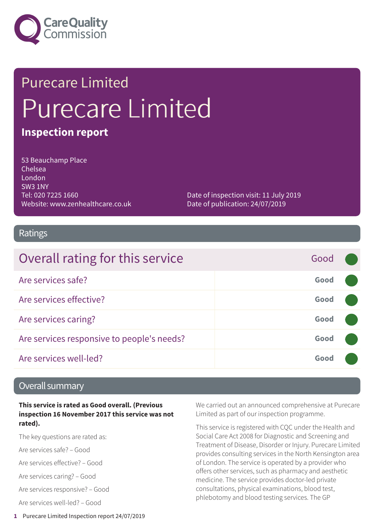

# Purecare Limited Purecare Limited

### **Inspection report**

53 Beauchamp Place Chelsea London SW3 1NY Tel: 020 7225 1660 Website: www.zenhealthcare.co.uk

Date of inspection visit: 11 July 2019 Date of publication: 24/07/2019

### Ratings

| Overall rating for this service            | Good |  |
|--------------------------------------------|------|--|
| Are services safe?                         | Good |  |
| Are services effective?                    | Good |  |
| Are services caring?                       | Good |  |
| Are services responsive to people's needs? | Good |  |
| Are services well-led?                     | Good |  |

### Overall summary

**This service is rated as Good overall. (Previous inspection 16 November 2017 this service was not rated).**

The key questions are rated as:

Are services safe? – Good

Are services effective? – Good

Are services caring? – Good

Are services responsive? – Good

Are services well-led? – Good

We carried out an announced comprehensive at Purecare Limited as part of our inspection programme.

This service is registered with CQC under the Health and Social Care Act 2008 for Diagnostic and Screening and Treatment of Disease, Disorder or Injury. Purecare Limited provides consulting services in the North Kensington area of London. The service is operated by a provider who offers other services, such as pharmacy and aesthetic medicine. The service provides doctor-led private consultations, physical examinations, blood test, phlebotomy and blood testing services. The GP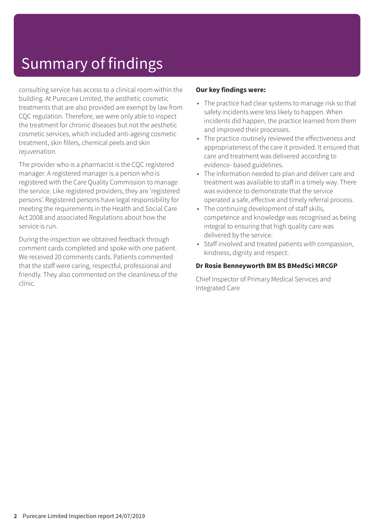## Summary of findings

consulting service has access to a clinical room within the building. At Purecare Limited, the aesthetic cosmetic treatments that are also provided are exempt by law from CQC regulation. Therefore, we were only able to inspect the treatment for chronic diseases but not the aesthetic cosmetic services, which included anti-ageing cosmetic treatment, skin fillers, chemical peels and skin rejuvenation.

The provider who is a pharmacist is the CQC registered manager. A registered manager is a person who is registered with the Care Quality Commission to manage the service. Like registered providers, they are 'registered persons'. Registered persons have legal responsibility for meeting the requirements in the Health and Social Care Act 2008 and associated Regulations about how the service is run.

During the inspection we obtained feedback through comment cards completed and spoke with one patient. We received 20 comments cards. Patients commented that the staff were caring, respectful, professional and friendly. They also commented on the cleanliness of the clinic.

### **Our key findings were:**

- The practice had clear systems to manage risk so that safety incidents were less likely to happen. When incidents did happen, the practice learned from them and improved their processes.
- The practice routinely reviewed the effectiveness and appropriateness of the care it provided. It ensured that care and treatment was delivered according to evidence- based guidelines.
- The information needed to plan and deliver care and treatment was available to staff in a timely way. There was evidence to demonstrate that the service operated a safe, effective and timely referral process.
- The continuing development of staff skills, competence and knowledge was recognised as being integral to ensuring that high quality care was delivered by the service.
- Staff involved and treated patients with compassion, kindness, dignity and respect.

### **Dr Rosie Benneyworth BM BS BMedSci MRCGP**

Chief Inspector of Primary Medical Services and Integrated Care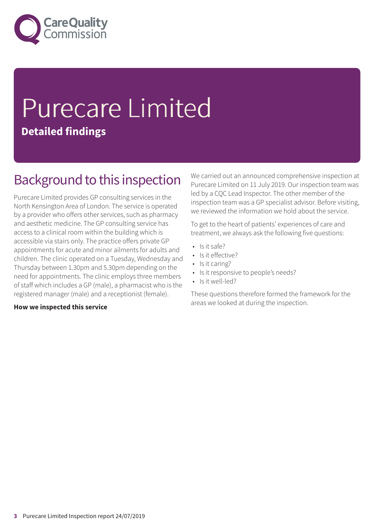

## Purecare Limited **Detailed findings**

### Background to this inspection

Purecare Limited provides GP consulting services in the North Kensington Area of London. The service is operated by a provider who offers other services, such as pharmacy and aesthetic medicine. The GP consulting service has access to a clinical room within the building which is accessible via stairs only. The practice offers private GP appointments for acute and minor ailments for adults and children. The clinic operated on a Tuesday, Wednesday and Thursday between 1.30pm and 5.30pm depending on the need for appointments. The clinic employs three members of staff which includes a GP (male), a pharmacist who is the registered manager (male) and a receptionist (female).

#### **How we inspected this service**

We carried out an announced comprehensive inspection at Purecare Limited on 11 July 2019. Our inspection team was led by a CQC Lead Inspector. The other member of the inspection team was a GP specialist advisor. Before visiting, we reviewed the information we hold about the service.

To get to the heart of patients' experiences of care and treatment, we always ask the following five questions:

- Is it safe?
- Is it effective?
- Is it caring?
- Is it responsive to people's needs?
- Is it well-led?

These questions therefore formed the framework for the areas we looked at during the inspection.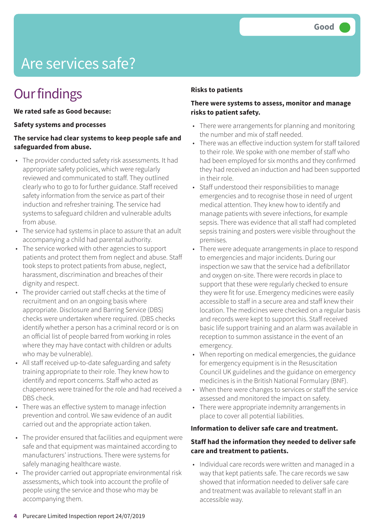## Are services safe?

### **Our findings**

#### **We rated safe as Good because:**

#### **Safety systems and processes**

### **The service had clear systems to keep people safe and safeguarded from abuse.**

- The provider conducted safety risk assessments. It had appropriate safety policies, which were regularly reviewed and communicated to staff. They outlined clearly who to go to for further guidance. Staff received safety information from the service as part of their induction and refresher training. The service had systems to safeguard children and vulnerable adults from abuse.
- The service had systems in place to assure that an adult accompanying a child had parental authority.
- The service worked with other agencies to support patients and protect them from neglect and abuse. Staff took steps to protect patients from abuse, neglect, harassment, discrimination and breaches of their dignity and respect.
- The provider carried out staff checks at the time of recruitment and on an ongoing basis where appropriate. Disclosure and Barring Service (DBS) checks were undertaken where required. (DBS checks identify whether a person has a criminal record or is on an official list of people barred from working in roles where they may have contact with children or adults who may be vulnerable).
- All staff received up-to-date safeguarding and safety training appropriate to their role. They knew how to identify and report concerns. Staff who acted as chaperones were trained for the role and had received a DBS check.
- There was an effective system to manage infection prevention and control. We saw evidence of an audit carried out and the appropriate action taken.
- The provider ensured that facilities and equipment were safe and that equipment was maintained according to manufacturers' instructions. There were systems for safely managing healthcare waste.
- The provider carried out appropriate environmental risk assessments, which took into account the profile of people using the service and those who may be accompanying them.

### **Risks to patients**

### **There were systems to assess, monitor and manage risks to patient safety.**

- There were arrangements for planning and monitoring the number and mix of staff needed.
- There was an effective induction system for staff tailored to their role. We spoke with one member of staff who had been employed for six months and they confirmed they had received an induction and had been supported in their role.
- Staff understood their responsibilities to manage emergencies and to recognise those in need of urgent medical attention. They knew how to identify and manage patients with severe infections, for example sepsis. There was evidence that all staff had completed sepsis training and posters were visible throughout the premises.
- There were adequate arrangements in place to respond to emergencies and major incidents. During our inspection we saw that the service had a defibrillator and oxygen on-site. There were records in place to support that these were regularly checked to ensure they were fit for use. Emergency medicines were easily accessible to staff in a secure area and staff knew their location. The medicines were checked on a regular basis and records were kept to support this. Staff received basic life support training and an alarm was available in reception to summon assistance in the event of an emergency.
- When reporting on medical emergencies, the guidance for emergency equipment is in the Resuscitation Council UK guidelines and the guidance on emergency medicines is in the British National Formulary (BNF).
- When there were changes to services or staff the service assessed and monitored the impact on safety.
- There were appropriate indemnity arrangements in place to cover all potential liabilities.

### **Information to deliver safe care and treatment.**

### **Staff had the information they needed to deliver safe care and treatment to patients.**

• Individual care records were written and managed in a way that kept patients safe. The care records we saw showed that information needed to deliver safe care and treatment was available to relevant staff in an accessible way.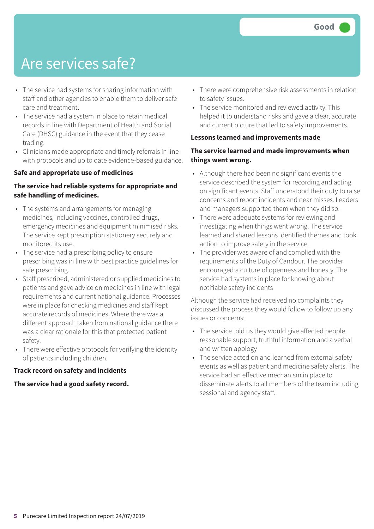### Are services safe?

- The service had systems for sharing information with staff and other agencies to enable them to deliver safe care and treatment.
- The service had a system in place to retain medical records in line with Department of Health and Social Care (DHSC) guidance in the event that they cease trading.
- Clinicians made appropriate and timely referrals in line with protocols and up to date evidence-based guidance.

### **Safe and appropriate use of medicines**

### **The service had reliable systems for appropriate and safe handling of medicines.**

- The systems and arrangements for managing medicines, including vaccines, controlled drugs, emergency medicines and equipment minimised risks. The service kept prescription stationery securely and monitored its use.
- The service had a prescribing policy to ensure prescribing was in line with best practice guidelines for safe prescribing.
- Staff prescribed, administered or supplied medicines to patients and gave advice on medicines in line with legal requirements and current national guidance. Processes were in place for checking medicines and staff kept accurate records of medicines. Where there was a different approach taken from national guidance there was a clear rationale for this that protected patient safety.
- There were effective protocols for verifying the identity of patients including children.

### **Track record on safety and incidents**

#### **The service had a good safety record.**

- There were comprehensive risk assessments in relation to safety issues.
- The service monitored and reviewed activity. This helped it to understand risks and gave a clear, accurate and current picture that led to safety improvements.

#### **Lessons learned and improvements made**

### **The service learned and made improvements when things went wrong.**

- Although there had been no significant events the service described the system for recording and acting on significant events. Staff understood their duty to raise concerns and report incidents and near misses. Leaders and managers supported them when they did so.
- There were adequate systems for reviewing and investigating when things went wrong. The service learned and shared lessons identified themes and took action to improve safety in the service.
- The provider was aware of and complied with the requirements of the Duty of Candour. The provider encouraged a culture of openness and honesty. The service had systems in place for knowing about notifiable safety incidents

Although the service had received no complaints they discussed the process they would follow to follow up any issues or concerns:

- The service told us they would give affected people reasonable support, truthful information and a verbal and written apology
- The service acted on and learned from external safety events as well as patient and medicine safety alerts. The service had an effective mechanism in place to disseminate alerts to all members of the team including sessional and agency staff.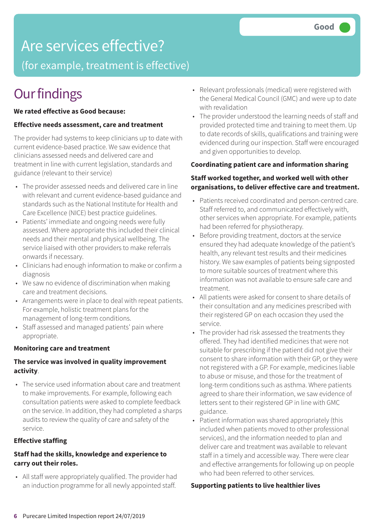### Are services effective?

(for example, treatment is effective)

### **Our findings**

#### **We rated effective as Good because:**

#### **Effective needs assessment, care and treatment**

The provider had systems to keep clinicians up to date with current evidence-based practice. We saw evidence that clinicians assessed needs and delivered care and treatment in line with current legislation, standards and guidance (relevant to their service)

- The provider assessed needs and delivered care in line with relevant and current evidence-based guidance and standards such as the National Institute for Health and Care Excellence (NICE) best practice guidelines.
- Patients' immediate and ongoing needs were fully assessed. Where appropriate this included their clinical needs and their mental and physical wellbeing. The service liaised with other providers to make referrals onwards if necessary.
- Clinicians had enough information to make or confirm a diagnosis
- We saw no evidence of discrimination when making care and treatment decisions.
- Arrangements were in place to deal with repeat patients. For example, holistic treatment plans for the management of long-term conditions.
- Staff assessed and managed patients' pain where appropriate.

#### **Monitoring care and treatment**

### **The service was involved in quality improvement activity**.

• The service used information about care and treatment to make improvements. For example, following each consultation patients were asked to complete feedback on the service. In addition, they had completed a sharps audits to review the quality of care and safety of the service.

### **Effective staffing**

### **Staff had the skills, knowledge and experience to carry out their roles.**

• All staff were appropriately qualified. The provider had an induction programme for all newly appointed staff.

- Relevant professionals (medical) were registered with the General Medical Council (GMC) and were up to date with revalidation
- The provider understood the learning needs of staff and provided protected time and training to meet them. Up to date records of skills, qualifications and training were evidenced during our inspection. Staff were encouraged and given opportunities to develop.

#### **Coordinating patient care and information sharing**

### **Staff worked together, and worked well with other organisations, to deliver effective care and treatment.**

- Patients received coordinated and person-centred care. Staff referred to, and communicated effectively with, other services when appropriate. For example, patients had been referred for physiotherapy.
- Before providing treatment, doctors at the service ensured they had adequate knowledge of the patient's health, any relevant test results and their medicines history. We saw examples of patients being signposted to more suitable sources of treatment where this information was not available to ensure safe care and treatment.
- All patients were asked for consent to share details of their consultation and any medicines prescribed with their registered GP on each occasion they used the service.
- The provider had risk assessed the treatments they offered. They had identified medicines that were not suitable for prescribing if the patient did not give their consent to share information with their GP, or they were not registered with a GP. For example, medicines liable to abuse or misuse, and those for the treatment of long-term conditions such as asthma. Where patients agreed to share their information, we saw evidence of letters sent to their registered GP in line with GMC guidance.
- Patient information was shared appropriately (this included when patients moved to other professional services), and the information needed to plan and deliver care and treatment was available to relevant staff in a timely and accessible way. There were clear and effective arrangements for following up on people who had been referred to other services.

#### **Supporting patients to live healthier lives**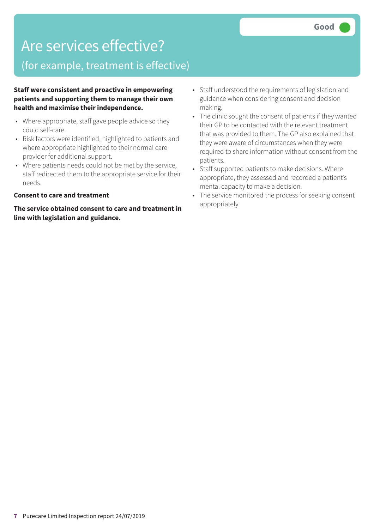### Are services effective?

### (for example, treatment is effective)

**Staff were consistent and proactive in empowering patients and supporting them to manage their own health and maximise their independence.**

- Where appropriate, staff gave people advice so they could self-care.
- Risk factors were identified, highlighted to patients and where appropriate highlighted to their normal care provider for additional support.
- Where patients needs could not be met by the service, staff redirected them to the appropriate service for their needs.

#### **Consent to care and treatment**

**The service obtained consent to care and treatment in line with legislation and guidance.**

- Staff understood the requirements of legislation and guidance when considering consent and decision making.
- The clinic sought the consent of patients if they wanted their GP to be contacted with the relevant treatment that was provided to them. The GP also explained that they were aware of circumstances when they were required to share information without consent from the patients.
- Staff supported patients to make decisions. Where appropriate, they assessed and recorded a patient's mental capacity to make a decision.
- The service monitored the process for seeking consent appropriately.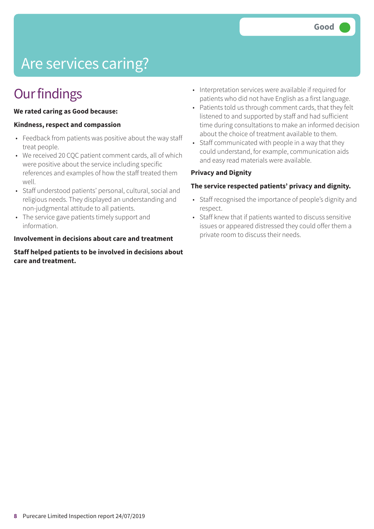## Are services caring?

### **Our findings**

#### **We rated caring as Good because:**

### **Kindness, respect and compassion**

- Feedback from patients was positive about the way staff treat people.
- We received 20 CQC patient comment cards, all of which were positive about the service including specific references and examples of how the staff treated them well.
- Staff understood patients' personal, cultural, social and religious needs. They displayed an understanding and non-judgmental attitude to all patients.
- The service gave patients timely support and information.

#### **Involvement in decisions about care and treatment**

#### **Staff helped patients to be involved in decisions about care and treatment.**

- Interpretation services were available if required for patients who did not have English as a first language.
- Patients told us through comment cards, that they felt listened to and supported by staff and had sufficient time during consultations to make an informed decision about the choice of treatment available to them.
- Staff communicated with people in a way that they could understand, for example, communication aids and easy read materials were available.

#### **Privacy and Dignity**

#### **The service respected patients' privacy and dignity.**

- Staff recognised the importance of people's dignity and respect.
- Staff knew that if patients wanted to discuss sensitive issues or appeared distressed they could offer them a private room to discuss their needs.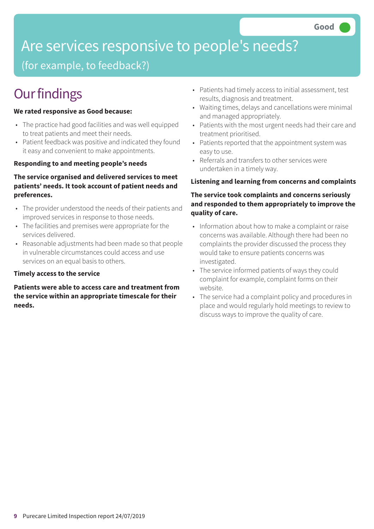## Are services responsive to people's needs?

(for example, to feedback?)

### **Our findings**

### **We rated responsive as Good because:**

- The practice had good facilities and was well equipped to treat patients and meet their needs.
- Patient feedback was positive and indicated they found it easy and convenient to make appointments.

### **Responding to and meeting people's needs**

### **The service organised and delivered services to meet patients' needs. It took account of patient needs and preferences.**

- The provider understood the needs of their patients and improved services in response to those needs.
- The facilities and premises were appropriate for the services delivered.
- Reasonable adjustments had been made so that people in vulnerable circumstances could access and use services on an equal basis to others.

### **Timely access to the service**

**Patients were able to access care and treatment from the service within an appropriate timescale for their needs.**

- Patients had timely access to initial assessment, test results, diagnosis and treatment.
- Waiting times, delays and cancellations were minimal and managed appropriately.
- Patients with the most urgent needs had their care and treatment prioritised.
- Patients reported that the appointment system was easy to use.
- Referrals and transfers to other services were undertaken in a timely way.

### **Listening and learning from concerns and complaints**

### **The service took complaints and concerns seriously and responded to them appropriately to improve the quality of care.**

- Information about how to make a complaint or raise concerns was available. Although there had been no complaints the provider discussed the process they would take to ensure patients concerns was investigated.
- The service informed patients of ways they could complaint for example, complaint forms on their website.
- The service had a complaint policy and procedures in place and would regularly hold meetings to review to discuss ways to improve the quality of care.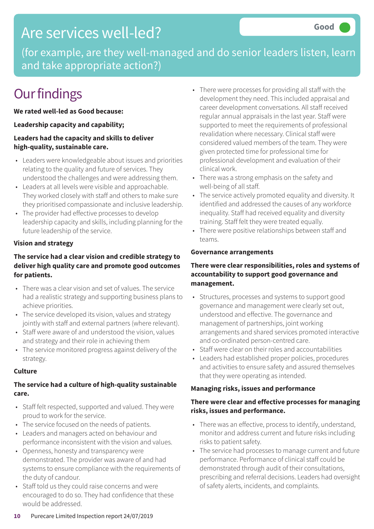### Are services well-led?

(for example, are they well-managed and do senior leaders listen, learn and take appropriate action?)

### **Our findings**

**We rated well-led as Good because:**

### **Leadership capacity and capability;**

### **Leaders had the capacity and skills to deliver high-quality, sustainable care.**

- Leaders were knowledgeable about issues and priorities relating to the quality and future of services. They understood the challenges and were addressing them.
- Leaders at all levels were visible and approachable. They worked closely with staff and others to make sure they prioritised compassionate and inclusive leadership.
- The provider had effective processes to develop leadership capacity and skills, including planning for the future leadership of the service.

### **Vision and strategy**

### **The service had a clear vision and credible strategy to deliver high quality care and promote good outcomes for patients.**

- There was a clear vision and set of values. The service had a realistic strategy and supporting business plans to achieve priorities.
- The service developed its vision, values and strategy jointly with staff and external partners (where relevant).
- Staff were aware of and understood the vision, values and strategy and their role in achieving them
- The service monitored progress against delivery of the strategy.

### **Culture**

### **The service had a culture of high-quality sustainable care.**

- Staff felt respected, supported and valued. They were proud to work for the service.
- The service focused on the needs of patients.
- Leaders and managers acted on behaviour and performance inconsistent with the vision and values.
- Openness, honesty and transparency were demonstrated. The provider was aware of and had systems to ensure compliance with the requirements of the duty of candour.
- Staff told us they could raise concerns and were encouraged to do so. They had confidence that these would be addressed.
- There were processes for providing all staff with the development they need. This included appraisal and career development conversations. All staff received regular annual appraisals in the last year. Staff were supported to meet the requirements of professional revalidation where necessary. Clinical staff were considered valued members of the team. They were given protected time for professional time for professional development and evaluation of their clinical work.
- There was a strong emphasis on the safety and well-being of all staff.
- The service actively promoted equality and diversity. It identified and addressed the causes of any workforce inequality. Staff had received equality and diversity training. Staff felt they were treated equally.
- There were positive relationships between staff and teams.

### **Governance arrangements**

### **There were clear responsibilities, roles and systems of accountability to support good governance and management.**

- Structures, processes and systems to support good governance and management were clearly set out, understood and effective. The governance and management of partnerships, joint working arrangements and shared services promoted interactive and co-ordinated person-centred care.
- Staff were clear on their roles and accountabilities
- Leaders had established proper policies, procedures and activities to ensure safety and assured themselves that they were operating as intended.

### **Managing risks, issues and performance**

### **There were clear and effective processes for managing risks, issues and performance.**

- There was an effective, process to identify, understand, monitor and address current and future risks including risks to patient safety.
- The service had processes to manage current and future performance. Performance of clinical staff could be demonstrated through audit of their consultations, prescribing and referral decisions. Leaders had oversight of safety alerts, incidents, and complaints.